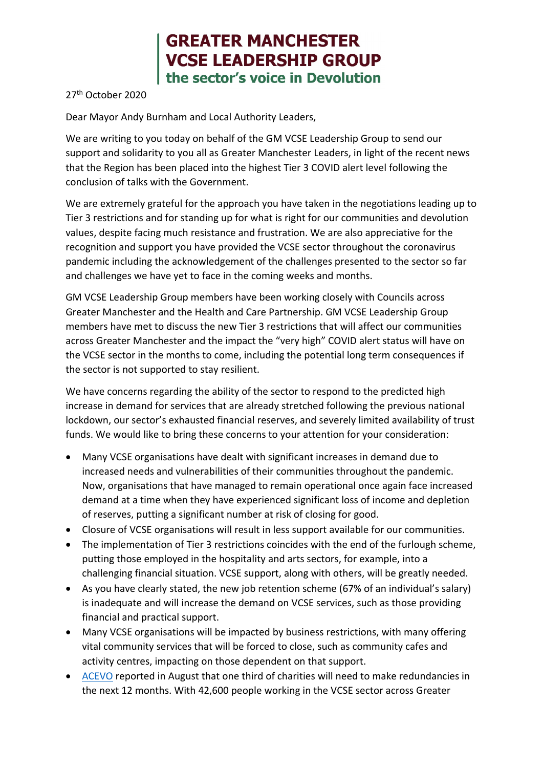## **GREATER MANCHESTER VCSE LEADERSHIP GROUP** the sector's voice in Devolution

27th October 2020

Dear Mayor Andy Burnham and Local Authority Leaders,

We are writing to you today on behalf of the GM VCSE Leadership Group to send our support and solidarity to you all as Greater Manchester Leaders, in light of the recent news that the Region has been placed into the highest Tier 3 COVID alert level following the conclusion of talks with the Government.

We are extremely grateful for the approach you have taken in the negotiations leading up to Tier 3 restrictions and for standing up for what is right for our communities and devolution values, despite facing much resistance and frustration. We are also appreciative for the recognition and support you have provided the VCSE sector throughout the coronavirus pandemic including the acknowledgement of the challenges presented to the sector so far and challenges we have yet to face in the coming weeks and months.

GM VCSE Leadership Group members have been working closely with Councils across Greater Manchester and the Health and Care Partnership. GM VCSE Leadership Group members have met to discuss the new Tier 3 restrictions that will affect our communities across Greater Manchester and the impact the "very high" COVID alert status will have on the VCSE sector in the months to come, including the potential long term consequences if the sector is not supported to stay resilient.

We have concerns regarding the ability of the sector to respond to the predicted high increase in demand for services that are already stretched following the previous national lockdown, our sector's exhausted financial reserves, and severely limited availability of trust funds. We would like to bring these concerns to your attention for your consideration:

- Many VCSE organisations have dealt with significant increases in demand due to increased needs and vulnerabilities of their communities throughout the pandemic. Now, organisations that have managed to remain operational once again face increased demand at a time when they have experienced significant loss of income and depletion of reserves, putting a significant number at risk of closing for good.
- Closure of VCSE organisations will result in less support available for our communities.
- The implementation of Tier 3 restrictions coincides with the end of the furlough scheme. putting those employed in the hospitality and arts sectors, for example, into a challenging financial situation. VCSE support, along with others, will be greatly needed.
- As you have clearly stated, the new job retention scheme (67% of an individual's salary) is inadequate and will increase the demand on VCSE services, such as those providing financial and practical support.
- Many VCSE organisations will be impacted by business restrictions, with many offering vital community services that will be forced to close, such as community cafes and activity centres, impacting on those dependent on that support.
- [ACEVO](https://www.acevo.org.uk/2020/08/one-third-of-charities-say-they-will-need-to-make-redundancies-within-the-next-12-months/) reported in August that one third of charities will need to make redundancies in the next 12 months. With 42,600 people working in the VCSE sector across Greater